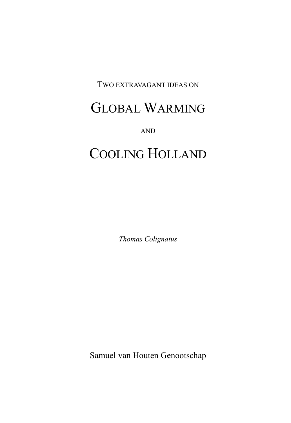#### TWO EXTRAVAGANT IDEAS ON

## GLOBAL WARMING

AND

# COOLING HOLLAND

Thomas Colignatus

Samuel van Houten Genootschap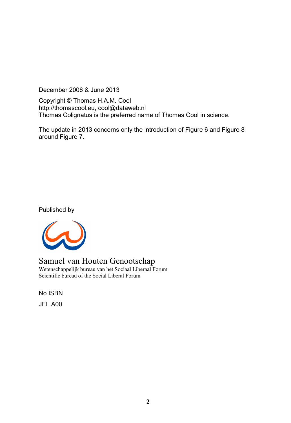December 2006 & June 2013

Copyright © Thomas H.A.M. Cool http://thomascool.eu, cool@dataweb.nl Thomas Colignatus is the preferred name of Thomas Cool in science.

The update in 2013 concerns only the introduction of Figure 6 and Figure 8 around Figure 7.

Published by



Samuel van Houten Genootschap Wetenschappelijk bureau van het Sociaal Liberaal Forum Scientific bureau of the Social Liberal Forum

No ISBN JEL A00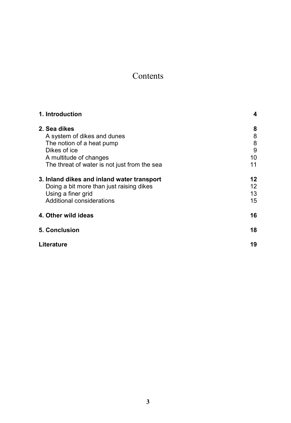## Contents

| 1. Introduction                              | 4  |
|----------------------------------------------|----|
| 2. Sea dikes                                 | 8  |
| A system of dikes and dunes                  | 8  |
| The notion of a heat pump                    | 8  |
| Dikes of ice                                 | 9  |
| A multitude of changes                       | 10 |
| The threat of water is not just from the sea | 11 |
| 3. Inland dikes and inland water transport   | 12 |
| Doing a bit more than just raising dikes     | 12 |
| Using a finer grid                           | 13 |
| Additional considerations                    | 15 |
| 4. Other wild ideas                          | 16 |
| 5. Conclusion                                | 18 |
| Literature                                   | 19 |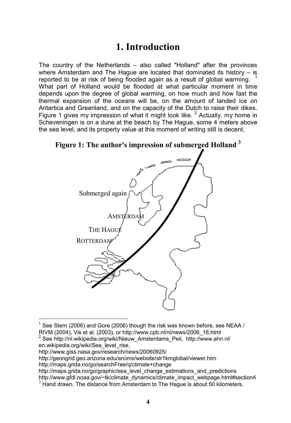## 1. Introduction

The country of the Netherlands – also called "Holland" after the provinces where Amsterdam and The Hague are located that dominated its history – is reported to be at risk of being flooded again as a result of global warming. What part of Holland would be flooded at what particular moment in time depends upon the degree of global warming, on how much and how fast the thermal expansion of the oceans will be, on the amount of landed ice on Antartica and Greenland, and on the capacity of the Dutch to raise their dikes. Figure 1 gives my impression of what it might look like.  $2$  Actually, my home in Scheveningen is on a dune at the beach by The Hague, some 4 meters above the sea level, and its property value at this moment of writing still is decent.



Figure 1: The author's impression of submerged Holland  $3$ 

 $\ddot{ }$ 

http://maps.grida.no/go/graphic/sea\_level\_change\_estimations\_and\_predictions http://www.gfdl.noaa.gov/~tk/climate\_dynamics/climate\_impact\_webpage.html#section4

<sup>1</sup> See Stern (2006) and Gore (2006) though the risk was known before, see NEAA / RIVM (2004), Vis et al. (2003), or http://www.cpb.nl/nl/news/2006\_16.html

<sup>2</sup> See http://nl.wikipedia.org/wiki/Nieuw\_Amsterdams\_Peil, http://www.ahn.nl/ en.wikipedia.org/wiki/Sea\_level\_rise,

http://www.giss.nasa.gov/research/news/20060925/

http://geongrid.geo.arizona.edu/arcims/website/slr1kmglobal/viewer.htm

http://maps.grida.no/go/searchFree/q/climate+change

 $3$  Hand drawn. The distance from Amsterdam to The Hague is about 50 kilometers.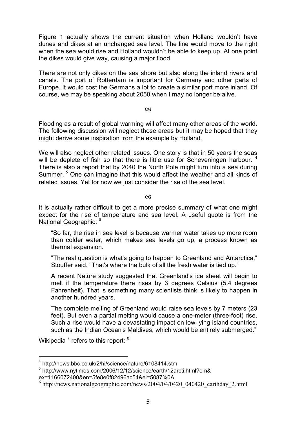Figure 1 actually shows the current situation when Holland wouldn't have dunes and dikes at an unchanged sea level. The line would move to the right when the sea would rise and Holland wouldn't be able to keep up. At one point the dikes would give way, causing a major flood.

There are not only dikes on the sea shore but also along the inland rivers and canals. The port of Rotterdam is important for Germany and other parts of Europe. It would cost the Germans a lot to create a similar port more inland. Of course, we may be speaking about 2050 when I may no longer be alive.

**cg** 

Flooding as a result of global warming will affect many other areas of the world. The following discussion will neglect those areas but it may be hoped that they might derive some inspiration from the example by Holland.

We will also neglect other related issues. One story is that in 50 years the seas will be deplete of fish so that there is little use for Scheveningen harbour.<sup>4</sup> There is also a report that by 2040 the North Pole might turn into a sea during Summer.<sup>5</sup> One can imagine that this would affect the weather and all kinds of related issues. Yet for now we just consider the rise of the sea level.

 $\alpha$ 

It is actually rather difficult to get a more precise summary of what one might expect for the rise of temperature and sea level. A useful quote is from the National Geographic: <sup>6</sup>

"So far, the rise in sea level is because warmer water takes up more room than colder water, which makes sea levels go up, a process known as thermal expansion.

"The real question is what's going to happen to Greenland and Antarctica," Stouffer said. "That's where the bulk of all the fresh water is tied up."

A recent Nature study suggested that Greenland's ice sheet will begin to melt if the temperature there rises by 3 degrees Celsius (5.4 degrees Fahrenheit). That is something many scientists think is likely to happen in another hundred years.

The complete melting of Greenland would raise sea levels by 7 meters (23 feet). But even a partial melting would cause a one-meter (three-foot) rise. Such a rise would have a devastating impact on low-lying island countries, such as the Indian Ocean's Maldives, which would be entirely submerged."

Wikipedia  $^7$  refers to this report:  $^8$ 

 4 http://news.bbc.co.uk/2/hi/science/nature/6108414.stm

<sup>5</sup> http://www.nytimes.com/2006/12/12/science/earth/12arcti.html?em&

ex=1166072400&en=5fe8e0f82496ac54&ei=5087%0A

<sup>6</sup> http://news.nationalgeographic.com/news/2004/04/0420\_040420\_earthday\_2.html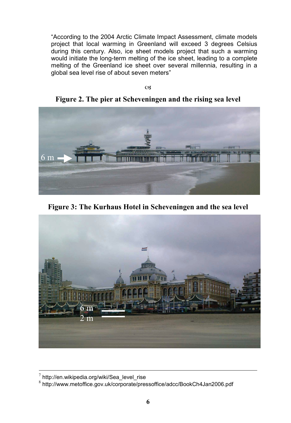"According to the 2004 Arctic Climate Impact Assessment, climate models project that local warming in Greenland will exceed 3 degrees Celsius during this century. Also, ice sheet models project that such a warming would initiate the long-term melting of the ice sheet, leading to a complete melting of the Greenland ice sheet over several millennia, resulting in a global sea level rise of about seven meters"

 $C<sub>3</sub>$ 

Figure 2. The pier at Scheveningen and the rising sea level



Figure 3: The Kurhaus Hotel in Scheveningen and the sea level



 $^7$  http://en.wikipedia.org/wiki/Sea\_level\_rise

<sup>8</sup> http://www.metoffice.gov.uk/corporate/pressoffice/adcc/BookCh4Jan2006.pdf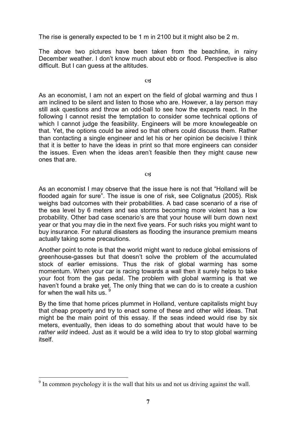The rise is generally expected to be 1 m in 2100 but it might also be 2 m.

The above two pictures have been taken from the beachline, in rainy December weather. I don't know much about ebb or flood. Perspective is also difficult. But I can guess at the altitudes.

#### $C<sub>3</sub>$

As an economist, I am not an expert on the field of global warming and thus I am inclined to be silent and listen to those who are. However, a lay person may still ask questions and throw an odd-ball to see how the experts react. In the following I cannot resist the temptation to consider some technical options of which I cannot judge the feasibility. Engineers will be more knowlegeable on that. Yet, the options could be aired so that others could discuss them. Rather than contacting a single engineer and let his or her opinion be decisive I think that it is better to have the ideas in print so that more engineers can consider the issues. Even when the ideas aren't feasible then they might cause new ones that are.

 $\alpha$ 

As an economist I may observe that the issue here is not that "Holland will be flooded again for sure". The issue is one of risk, see Colignatus (2005). Risk weighs bad outcomes with their probabilities. A bad case scenario of a rise of the sea level by 6 meters and sea storms becoming more violent has a low probability. Other bad case scenario's are that your house will burn down next year or that you may die in the next five years. For such risks you might want to buy insurance. For natural disasters as flooding the insurance premium means actually taking some precautions.

Another point to note is that the world might want to reduce global emissions of greenhouse-gasses but that doesn't solve the problem of the accumulated stock of earlier emissions. Thus the risk of global warming has some momentum. When your car is racing towards a wall then it surely helps to take your foot from the gas pedal. The problem with global warming is that we haven't found a brake yet. The only thing that we can do is to create a cushion for when the wall hits us.  $9^9$ 

By the time that home prices plummet in Holland, venture capitalists might buy that cheap property and try to enact some of these and other wild ideas. That might be the main point of this essay. If the seas indeed would rise by six meters, eventually, then ideas to do something about that would have to be rather wild indeed. Just as it would be a wild idea to try to stop global warming itself.

 $\overline{a}$  $9<sup>9</sup>$  In common psychology it is the wall that hits us and not us driving against the wall.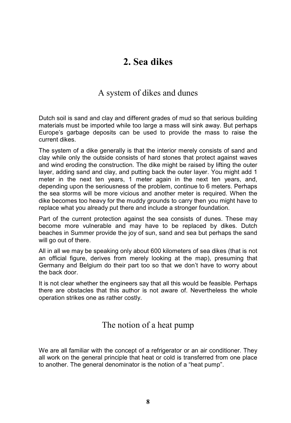## 2. Sea dikes

#### A system of dikes and dunes

Dutch soil is sand and clay and different grades of mud so that serious building materials must be imported while too large a mass will sink away. But perhaps Europe's garbage deposits can be used to provide the mass to raise the current dikes.

The system of a dike generally is that the interior merely consists of sand and clay while only the outside consists of hard stones that protect against waves and wind eroding the construction. The dike might be raised by lifting the outer layer, adding sand and clay, and putting back the outer layer. You might add 1 meter in the next ten years, 1 meter again in the next ten years, and, depending upon the seriousness of the problem, continue to 6 meters. Perhaps the sea storms will be more vicious and another meter is required. When the dike becomes too heavy for the muddy grounds to carry then you might have to replace what you already put there and include a stronger foundation.

Part of the current protection against the sea consists of dunes. These may become more vulnerable and may have to be replaced by dikes. Dutch beaches in Summer provide the joy of sun, sand and sea but perhaps the sand will go out of there.

All in all we may be speaking only about 600 kilometers of sea dikes (that is not an official figure, derives from merely looking at the map), presuming that Germany and Belgium do their part too so that we don't have to worry about the back door.

It is not clear whether the engineers say that all this would be feasible. Perhaps there are obstacles that this author is not aware of. Nevertheless the whole operation strikes one as rather costly.

#### The notion of a heat pump

We are all familiar with the concept of a refrigerator or an air conditioner. They all work on the general principle that heat or cold is transferred from one place to another. The general denominator is the notion of a "heat pump".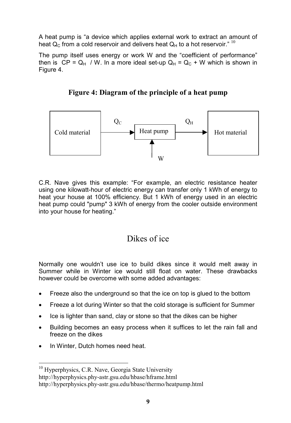A heat pump is "a device which applies external work to extract an amount of heat  $Q_c$  from a cold reservoir and delivers heat  $Q_H$  to a hot reservoir."  $10$ 

The pump itself uses energy or work W and the "coefficient of performance" then is  $CP = Q_H / W$ . In a more ideal set-up  $Q_H = Q_C + W$  which is shown in Figure 4.



Figure 4: Diagram of the principle of a heat pump

C.R. Nave gives this example: "For example, an electric resistance heater using one kilowatt-hour of electric energy can transfer only 1 kWh of energy to heat your house at 100% efficiency. But 1 kWh of energy used in an electric heat pump could "pump" 3 kWh of energy from the cooler outside environment into your house for heating."

#### Dikes of ice

Normally one wouldn't use ice to build dikes since it would melt away in Summer while in Winter ice would still float on water. These drawbacks however could be overcome with some added advantages:

- Freeze also the underground so that the ice on top is glued to the bottom
- Freeze a lot during Winter so that the cold storage is sufficient for Summer
- Ice is lighter than sand, clay or stone so that the dikes can be higher
- Building becomes an easy process when it suffices to let the rain fall and freeze on the dikes
- In Winter, Dutch homes need heat.

 $\ddot{ }$ <sup>10</sup> Hyperphysics, C.R. Nave, Georgia State University http://hyperphysics.phy-astr.gsu.edu/hbase/hframe.html http://hyperphysics.phy-astr.gsu.edu/hbase/thermo/heatpump.html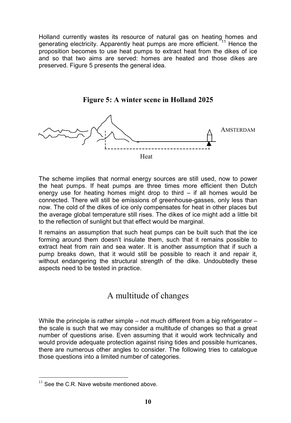Holland currently wastes its resource of natural gas on heating homes and generating electricity. Apparently heat pumps are more efficient. <sup>11</sup> Hence the proposition becomes to use heat pumps to extract heat from the dikes of ice and so that two aims are served: homes are heated and those dikes are preserved. Figure 5 presents the general idea.



Figure 5: A winter scene in Holland 2025

The scheme implies that normal energy sources are still used, now to power the heat pumps. If heat pumps are three times more efficient then Dutch energy use for heating homes might drop to third – if all homes would be connected. There will still be emissions of greenhouse-gasses, only less than now. The cold of the dikes of ice only compensates for heat in other places but the average global temperature still rises. The dikes of ice might add a little bit to the reflection of sunlight but that effect would be marginal.

It remains an assumption that such heat pumps can be built such that the ice forming around them doesn't insulate them, such that it remains possible to extract heat from rain and sea water. It is another assumption that if such a pump breaks down, that it would still be possible to reach it and repair it, without endangering the structural strength of the dike. Undoubtedly these aspects need to be tested in practice.

#### A multitude of changes

While the principle is rather simple – not much different from a big refrigerator  $$ the scale is such that we may consider a multitude of changes so that a great number of questions arise. Even assuming that it would work technically and would provide adequate protection against rising tides and possible hurricanes, there are numerous other angles to consider. The following tries to catalogue those questions into a limited number of categories.

 $\overline{a}$ 

 $11$  See the C.R. Nave website mentioned above.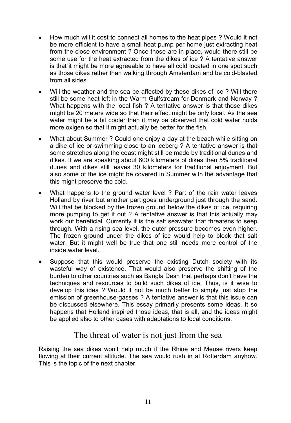- How much will it cost to connect all homes to the heat pipes ? Would it not be more efficient to have a small heat pump per home just extracting heat from the close environment ? Once those are in place, would there still be some use for the heat extracted from the dikes of ice ? A tentative answer is that it might be more agreeable to have all cold located in one spot such as those dikes rather than walking through Amsterdam and be cold-blasted from all sides.
- Will the weather and the sea be affected by these dikes of ice? Will there still be some heat left in the Warm Gulfstream for Denmark and Norway ? What happens with the local fish ? A tentative answer is that those dikes might be 20 meters wide so that their effect might be only local. As the sea water might be a bit cooler then it may be observed that cold water holds more oxigen so that it might actually be better for the fish.
- What about Summer ? Could one enjoy a day at the beach while sitting on a dike of ice or swimming close to an iceberg ? A tentative answer is that some stretches along the coast might still be made by traditional dunes and dikes. If we are speaking about 600 kilometers of dikes then 5% traditional dunes and dikes still leaves 30 kilometers for traditional enjoyment. But also some of the ice might be covered in Summer with the advantage that this might preserve the cold.
- What happens to the ground water level ? Part of the rain water leaves Holland by river but another part goes underground just through the sand. Will that be blocked by the frozen ground below the dikes of ice, requiring more pumping to get it out ? A tentative answer is that this actually may work out beneficial. Currently it is the salt seawater that threatens to seep through. With a rising sea level, the outer pressure becomes even higher. The frozen ground under the dikes of ice would help to block that salt water. But it might well be true that one still needs more control of the inside water level.
- Suppose that this would preserve the existing Dutch society with its wasteful way of existence. That would also preserve the shifting of the burden to other countries such as Bangla Desh that perhaps don't have the techniques and resources to build such dikes of ice. Thus, is it wise to develop this idea ? Would it not be much better to simply just stop the emission of greenhouse-gasses ? A tentative answer is that this issue can be discussed elsewhere. This essay primarily presents some ideas. It so happens that Holland inspired those ideas, that is all, and the ideas might be applied also to other cases with adaptations to local conditions.

#### The threat of water is not just from the sea

Raising the sea dikes won't help much if the Rhine and Meuse rivers keep flowing at their current altitude. The sea would rush in at Rotterdam anyhow. This is the topic of the next chapter.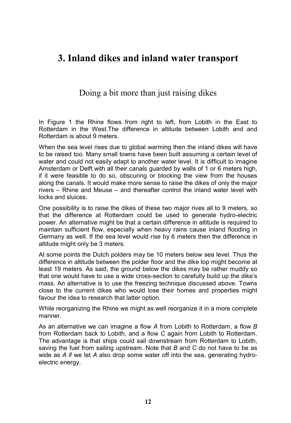### 3. Inland dikes and inland water transport

#### Doing a bit more than just raising dikes

In Figure 1 the Rhine flows from right to left, from Lobith in the East to Rotterdam in the West.The difference in altitude between Lobith and and Rotterdam is about 9 meters.

When the sea level rises due to global warming then the inland dikes will have to be raised too. Many small towns have been built assuming a certain level of water and could not easily adapt to another water level. It is difficult to imagine Amsterdam or Delft with all their canals guarded by walls of 1 or 6 meters high, if it were feasible to do so, obscuring or blocking the view from the houses along the canals. It would make more sense to raise the dikes of only the major rivers – Rhine and Meuse – and thereafter control the inland water level with locks and sluices.

One possibility is to raise the dikes of these two major rives all to 9 meters, so that the difference at Rotterdam could be used to generate hydro-electric power. An alternative might be that a certain difference in altitude is required to maintain sufficient flow, especially when heavy rains cause inland flooding in Germany as well. If the sea level would rise by 6 meters then the difference in altitude might only be 3 meters.

At some points the Dutch polders may be 10 meters below sea level. Thus the difference in altitude between the polder floor and the dike top might become at least 19 meters. As said, the ground below the dikes may be rather muddy so that one would have to use a wide cross-section to carefully build up the dike's mass. An alternative is to use the freezing technique discussed above. Towns close to the current dikes who would lose their homes and properties might favour the idea to research that latter option.

While reorganizing the Rhine we might as well reorganize it in a more complete manner.

As an alternative we can imagine a flow A from Lobith to Rotterdam, a flow B from Rotterdam back to Lobith, and a flow C again from Lobith to Rotterdam. The advantage is that ships could sail downstream from Rotterdam to Lobith, saving the fuel from sailing upstream. Note that  $B$  and  $C$  do not have to be as wide as A if we let A also drop some water off into the sea, generating hydroelectric energy.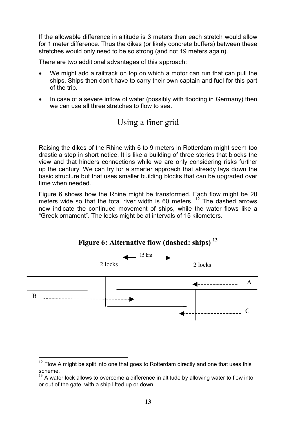If the allowable difference in altitude is 3 meters then each stretch would allow for 1 meter difference. Thus the dikes (or likely concrete buffers) between these stretches would only need to be so strong (and not 19 meters again).

There are two additional advantages of this approach:

- We might add a railtrack on top on which a motor can run that can pull the ships. Ships then don't have to carry their own captain and fuel for this part of the trip.
- In case of a severe inflow of water (possibly with flooding in Germany) then we can use all three stretches to flow to sea.



Raising the dikes of the Rhine with 6 to 9 meters in Rotterdam might seem too drastic a step in short notice. It is like a building of three stories that blocks the view and that hinders connections while we are only considering risks further up the century. We can try for a smarter approach that already lays down the basic structure but that uses smaller building blocks that can be upgraded over time when needed.

Figure 6 shows how the Rhine might be transformed. Each flow might be 20 meters wide so that the total river width is 60 meters.  $12$  The dashed arrows now indicate the continued movement of ships, while the water flows like a "Greek ornament". The locks might be at intervals of 15 kilometers.



Figure 6: Alternative flow (dashed: ships)  $^{13}$ 

 $12$  Flow A might be split into one that goes to Rotterdam directly and one that uses this scheme.

A water lock allows to overcome a difference in altitude by allowing water to flow into or out of the gate, with a ship lifted up or down.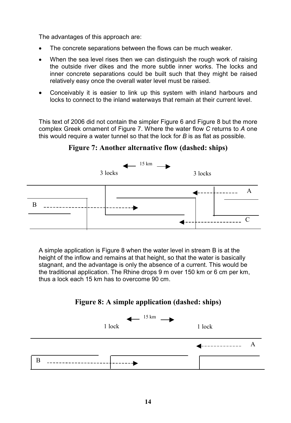The advantages of this approach are:

- The concrete separations between the flows can be much weaker.
- When the sea level rises then we can distinguish the rough work of raising the outside river dikes and the more subtle inner works. The locks and inner concrete separations could be built such that they might be raised relatively easy once the overall water level must be raised.
- Conceivably it is easier to link up this system with inland harbours and locks to connect to the inland waterways that remain at their current level.

This text of 2006 did not contain the simpler Figure 6 and Figure 8 but the more complex Greek ornament of Figure 7. Where the water flow C returns to A one this would require a water tunnel so that the lock for  $B$  is as flat as possible.



Figure 7: Another alternative flow (dashed: ships)

A simple application is Figure 8 when the water level in stream B is at the height of the inflow and remains at that height, so that the water is basically stagnant, and the advantage is only the absence of a current. This would be the traditional application. The Rhine drops 9 m over 150 km or 6 cm per km, thus a lock each 15 km has to overcome 90 cm.



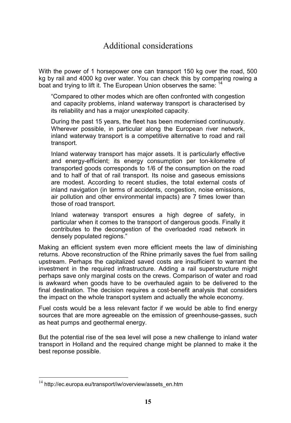### Additional considerations

With the power of 1 horsepower one can transport 150 kg over the road, 500 kg by rail and 4000 kg over water. You can check this by comparing rowing a boat and trying to lift it. The European Union observes the same: <sup>14</sup>

"Compared to other modes which are often confronted with congestion and capacity problems, inland waterway transport is characterised by its reliability and has a major unexploited capacity.

During the past 15 years, the fleet has been modernised continuously. Wherever possible, in particular along the European river network, inland waterway transport is a competitive alternative to road and rail transport.

Inland waterway transport has major assets. It is particularly effective and energy-efficient; its energy consumption per ton-kilometre of transported goods corresponds to 1/6 of the consumption on the road and to half of that of rail transport. Its noise and gaseous emissions are modest. According to recent studies, the total external costs of inland navigation (in terms of accidents, congestion, noise emissions, air pollution and other environmental impacts) are 7 times lower than those of road transport.

Inland waterway transport ensures a high degree of safety, in particular when it comes to the transport of dangerous goods. Finally it contributes to the decongestion of the overloaded road network in densely populated regions."

Making an efficient system even more efficient meets the law of diminishing returns. Above reconstruction of the Rhine primarily saves the fuel from sailing upstream. Perhaps the capitalized saved costs are insufficient to warrant the investment in the required infrastructure. Adding a rail superstructure might perhaps save only marginal costs on the crews. Comparison of water and road is awkward when goods have to be overhauled again to be delivered to the final destination. The decision requires a cost-benefit analysis that considers the impact on the whole transport system and actually the whole economy.

Fuel costs would be a less relevant factor if we would be able to find energy sources that are more agreeable on the emission of greenhouse-gasses, such as heat pumps and geothermal energy.

But the potential rise of the sea level will pose a new challenge to inland water transport in Holland and the required change might be planned to make it the best reponse possible.

 $\overline{a}$ 

<sup>&</sup>lt;sup>14</sup> http://ec.europa.eu/transport/iw/overview/assets\_en.htm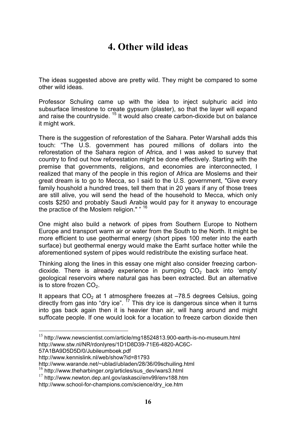## 4. Other wild ideas

The ideas suggested above are pretty wild. They might be compared to some other wild ideas.

Professor Schuling came up with the idea to inject sulphuric acid into subsurface limestone to create gypsum (plaster), so that the layer will expand and raise the countryside.  $15$  It would also create carbon-dioxide but on balance it might work.

There is the suggestion of reforestation of the Sahara. Peter Warshall adds this touch: "The U.S. government has poured millions of dollars into the reforestation of the Sahara region of Africa, and I was asked to survey that country to find out how reforestation might be done effectively. Starting with the premise that governments, religions, and economies are interconnected, I realized that many of the people in this region of Africa are Moslems and their great dream is to go to Mecca, so I said to the U.S. government, "Give every family houshold a hundred trees, tell them that in 20 years if any of those trees are still alive, you will send the head of the household to Mecca, which only costs \$250 and probably Saudi Arabia would pay for it anyway to encourage the practice of the Moslem religion." <sup>16</sup>

One might also build a network of pipes from Southern Europe to Nothern Europe and transport warm air or water from the South to the North. It might be more efficient to use geothermal energy (short pipes 100 meter into the earth surface) but geothermal energy would make the Earht surface hotter while the aforementioned system of pipes would redistribute the existing surface heat.

Thinking along the lines in this essay one might also consider freezing carbondioxide. There is already experience in pumping  $CO<sub>2</sub>$  back into 'empty' geological reservoirs where natural gas has been extracted. But an alternative is to store frozen  $CO<sub>2</sub>$ .

It appears that  $CO_2$  at 1 atmosphere freezes at  $-78.5$  degrees Celsius, going directly from gas into "dry ice". <sup>17</sup> This dry ice is dangerous since when it turns into gas back again then it is heavier than air, will hang around and might suffocate people. If one would look for a location to freeze carbon dioxide then

57A1BA9D5D5D/0/Jubileumboek.pdf

<sup>&</sup>lt;sup>15</sup> http://www.newscientist.com/article/mg18524813.900-earth-is-no-museum.html http://www.stw.nl/NR/rdonlyres/1D1D8D39-71E6-4820-AC6C-

http://www.kennislink.nl/web/show?id=81793

http://www.warande.net/~ublad/ubladen/28/36/09schuiling.html

<sup>&</sup>lt;sup>16</sup> http://www.theharbinger.org/articles/sus\_dev/wars3.html

 $17$  http://www.newton.dep.anl.gov/askasci/env99/env188.htm http://www.school-for-champions.com/science/dry\_ice.htm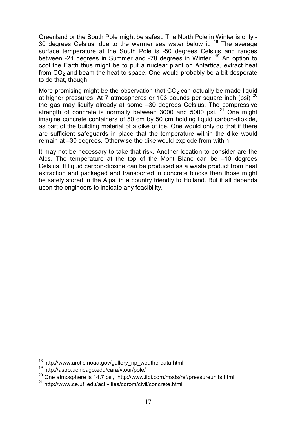Greenland or the South Pole might be safest. The North Pole in Winter is only - 30 degrees Celsius, due to the warmer sea water below it. <sup>18</sup> The average surface temperature at the South Pole is -50 degrees Celsius and ranges between -21 degrees in Summer and -78 degrees in Winter. <sup>19</sup> An option to cool the Earth thus might be to put a nuclear plant on Antartica, extract heat from  $CO<sub>2</sub>$  and beam the heat to space. One would probably be a bit desperate to do that, though.

More promising might be the observation that  $CO<sub>2</sub>$  can actually be made liquid at higher pressures. At 7 atmospheres or 103 pounds per square inch (psi)  $^{20}$ the gas may liquify already at some –30 degrees Celsius. The compressive strength of concrete is normally between 3000 and 5000 psi.<sup>21</sup> One might imagine concrete containers of 50 cm by 50 cm holding liquid carbon-dioxide, as part of the building material of a dike of ice. One would only do that if there are sufficient safeguards in place that the temperature within the dike would remain at –30 degrees. Otherwise the dike would explode from within.

It may not be necessary to take that risk. Another location to consider are the Alps. The temperature at the top of the Mont Blanc can be –10 degrees Celsius. If liquid carbon-dioxide can be produced as a waste product from heat extraction and packaged and transported in concrete blocks then those might be safely stored in the Alps, in a country friendly to Holland. But it all depends upon the engineers to indicate any feasibility.

 $\overline{a}$ 

 $18$  http://www.arctic.noaa.gov/gallery\_np\_weatherdata.html

 $19$  http://astro.uchicago.edu/cara/vtour/pole/

 $^{20}$  One atmosphere is 14.7 psi, http://www.ilpi.com/msds/ref/pressureunits.html

<sup>21</sup> http://www.ce.ufl.edu/activities/cdrom/civil/concrete.html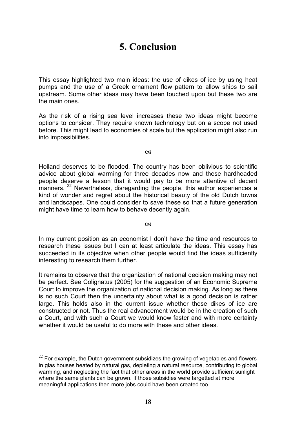## 5. Conclusion

This essay highlighted two main ideas: the use of dikes of ice by using heat pumps and the use of a Greek ornament flow pattern to allow ships to sail upstream. Some other ideas may have been touched upon but these two are the main ones.

As the risk of a rising sea level increases these two ideas might become options to consider. They require known technology but on a scope not used before. This might lead to economies of scale but the application might also run into impossibilities.

**C** 

Holland deserves to be flooded. The country has been oblivious to scientific advice about global warming for three decades now and these hardheaded people deserve a lesson that it would pay to be more attentive of decent manners.  $^{22}$  Nevertheless, disregarding the people, this author experiences a kind of wonder and regret about the historical beauty of the old Dutch towns and landscapes. One could consider to save these so that a future generation might have time to learn how to behave decently again.

**cs** 

In my current position as an economist I don't have the time and resources to research these issues but I can at least articulate the ideas. This essay has succeeded in its objective when other people would find the ideas sufficiently interesting to research them further.

It remains to observe that the organization of national decision making may not be perfect. See Colignatus (2005) for the suggestion of an Economic Supreme Court to improve the organization of national decision making. As long as there is no such Court then the uncertainty about what is a good decision is rather large. This holds also in the current issue whether these dikes of ice are constructed or not. Thus the real advancement would be in the creation of such a Court, and with such a Court we would know faster and with more certainty whether it would be useful to do more with these and other ideas.

 $^{22}$  For example, the Dutch government subsidizes the growing of vegetables and flowers in glas houses heated by natural gas, depleting a natural resource, contributing to global warming, and neglecting the fact that other areas in the world provide sufficient sunlight where the same plants can be grown. If those subsidies were targetted at more meaningful applications then more jobs could have been created too.